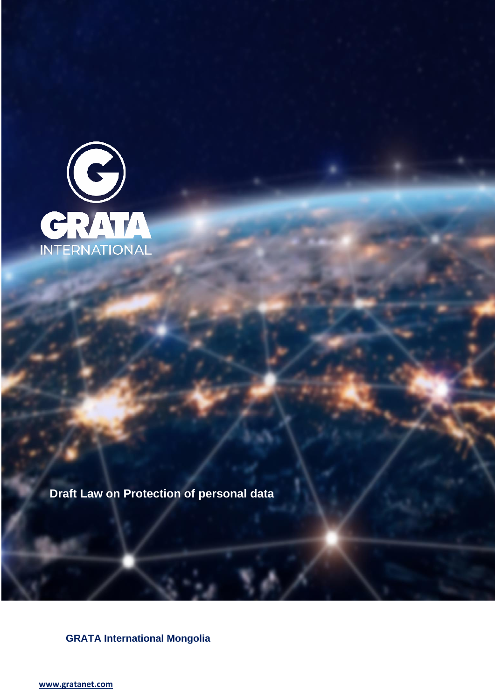

**Draft Law on Protection of personal data**

**GRATA International Mongolia**

**[www.gratanet.com](http://www.gratanet.com/)**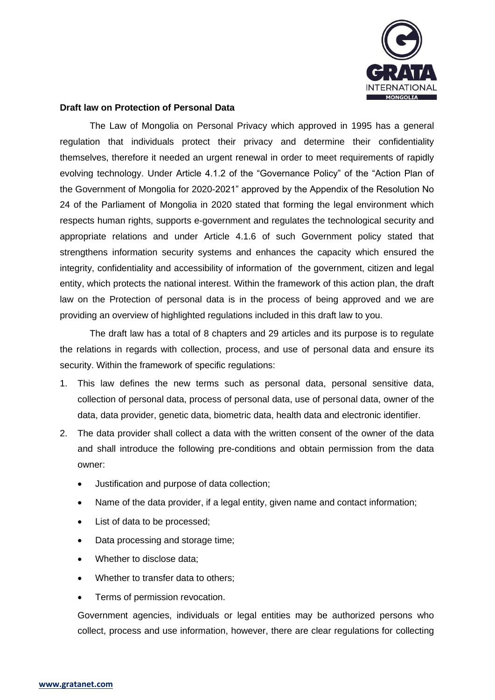

## **Draft law on Protection of Personal Data**

The Law of Mongolia on Personal Privacy which approved in 1995 has a general regulation that individuals protect their privacy and determine their confidentiality themselves, therefore it needed an urgent renewal in order to meet requirements of rapidly evolving technology. Under Article 4.1.2 of the "Governance Policy" of the "Action Plan of the Government of Mongolia for 2020-2021" approved by the Appendix of the Resolution No 24 of the Parliament of Mongolia in 2020 stated that forming the legal environment which respects human rights, supports e-government and regulates the technological security and appropriate relations and under Article 4.1.6 of such Government policy stated that strengthens information security systems and enhances the capacity which ensured the integrity, confidentiality and accessibility of information of the government, citizen and legal entity, which protects the national interest. Within the framework of this action plan, the draft law on the Protection of personal data is in the process of being approved and we are providing an overview of highlighted regulations included in this draft law to you.

The draft law has a total of 8 chapters and 29 articles and its purpose is to regulate the relations in regards with collection, process, and use of personal data and ensure its security. Within the framework of specific regulations:

- 1. This law defines the new terms such as personal data, personal sensitive data, collection of personal data, process of personal data, use of personal data, owner of the data, data provider, genetic data, biometric data, health data and electronic identifier.
- 2. The data provider shall collect a data with the written consent of the owner of the data and shall introduce the following pre-conditions and obtain permission from the data owner:
	- Justification and purpose of data collection;
	- Name of the data provider, if a legal entity, given name and contact information;
	- List of data to be processed;
	- Data processing and storage time;
	- Whether to disclose data;
	- Whether to transfer data to others;
	- Terms of permission revocation.

Government agencies, individuals or legal entities may be authorized persons who collect, process and use information, however, there are clear regulations for collecting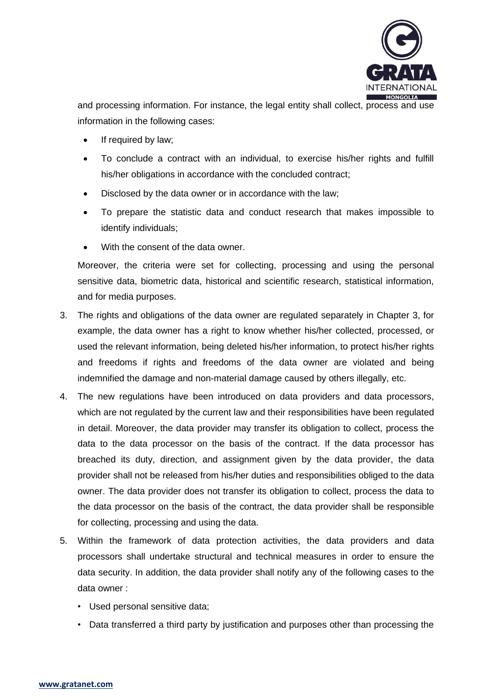

and processing information. For instance, the legal entity shall collect, process and use information in the following cases:

- If required by law;
- To conclude a contract with an individual, to exercise his/her rights and fulfill his/her obligations in accordance with the concluded contract;
- Disclosed by the data owner or in accordance with the law;
- To prepare the statistic data and conduct research that makes impossible to identify individuals;
- With the consent of the data owner.

Moreover, the criteria were set for collecting, processing and using the personal sensitive data, biometric data, historical and scientific research, statistical information, and for media purposes.

- 3. The rights and obligations of the data owner are regulated separately in Chapter 3, for example, the data owner has a right to know whether his/her collected, processed, or used the relevant information, being deleted his/her information, to protect his/her rights and freedoms if rights and freedoms of the data owner are violated and being indemnified the damage and non-material damage caused by others illegally, etc.
- 4. The new regulations have been introduced on data providers and data processors, which are not regulated by the current law and their responsibilities have been regulated in detail. Moreover, the data provider may transfer its obligation to collect, process the data to the data processor on the basis of the contract. If the data processor has breached its duty, direction, and assignment given by the data provider, the data provider shall not be released from his/her duties and responsibilities obliged to the data owner. The data provider does not transfer its obligation to collect, process the data to the data processor on the basis of the contract, the data provider shall be responsible for collecting, processing and using the data.
- 5. Within the framework of data protection activities, the data providers and data processors shall undertake structural and technical measures in order to ensure the data security. In addition, the data provider shall notify any of the following cases to the data owner :
	- Used personal sensitive data;
	- Data transferred a third party by justification and purposes other than processing the